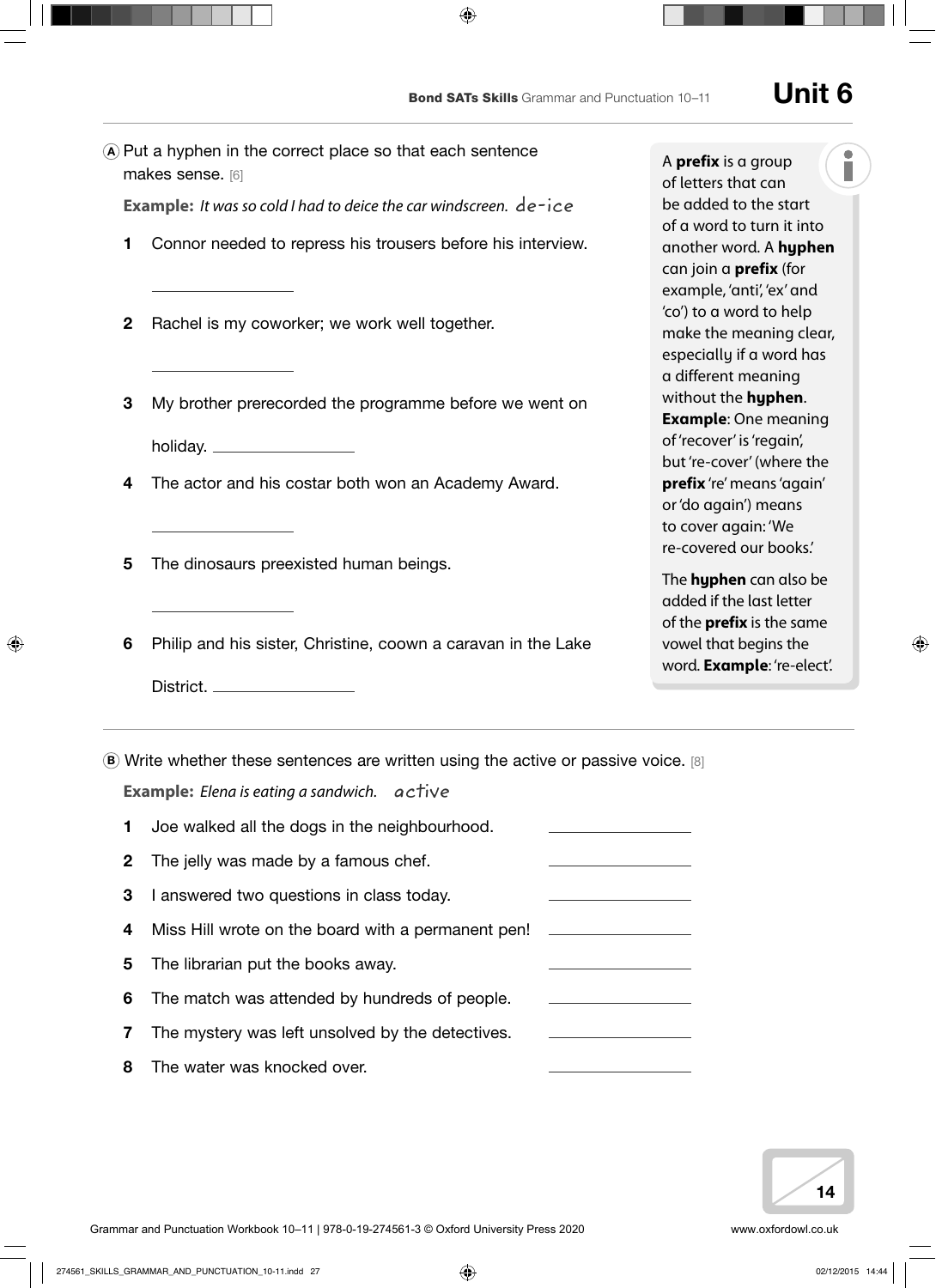<sup>A</sup> Put a hyphen in the correct place so that each sentence makes sense. [6] **Example:** *It was so cold I had to deice the car windscreen.* de-ice 1 Connor needed to repress his trousers before his interview. 2 Rachel is my coworker; we work well together. **3** My brother prerecorded the programme before we went on holiday. 4 The actor and his costar both won an Academy Award. 5 The dinosaurs preexisted human beings. 6 Philip and his sister, Christine, coown a caravan in the Lake District.  $\bullet$  Write whether these sentences are written using the active or passive voice. [8] **Example:** *Elena is eating a sandwich.* active 1 Joe walked all the dogs in the neighbourhood. 2 The jelly was made by a famous chef. 3 I answered two questions in class today. 4 Miss Hill wrote on the board with a permanent pen! 5 The librarian put the books away. 6 The match was attended by hundreds of people. **7** The mystery was left unsolved by the detectives. 8 The water was knocked over. A **prefix** is a group

of letters that can be added to the start of a word to turn it into another word. A **hyphen** can join a **prefix** (for example, 'anti', 'ex' and 'co') to a word to help make the meaning clear, especially if a word has a different meaning without the **hyphen**. **Example**: One meaning of 'recover' is 'regain', but 're-cover' (where the **prefix** 're' means 'again' or 'do again') means to cover again: 'We re-covered our books.'

The **hyphen** can also be added if the last letter of the **prefix** is the same vowel that begins the word. **Example**: 're-elect'.

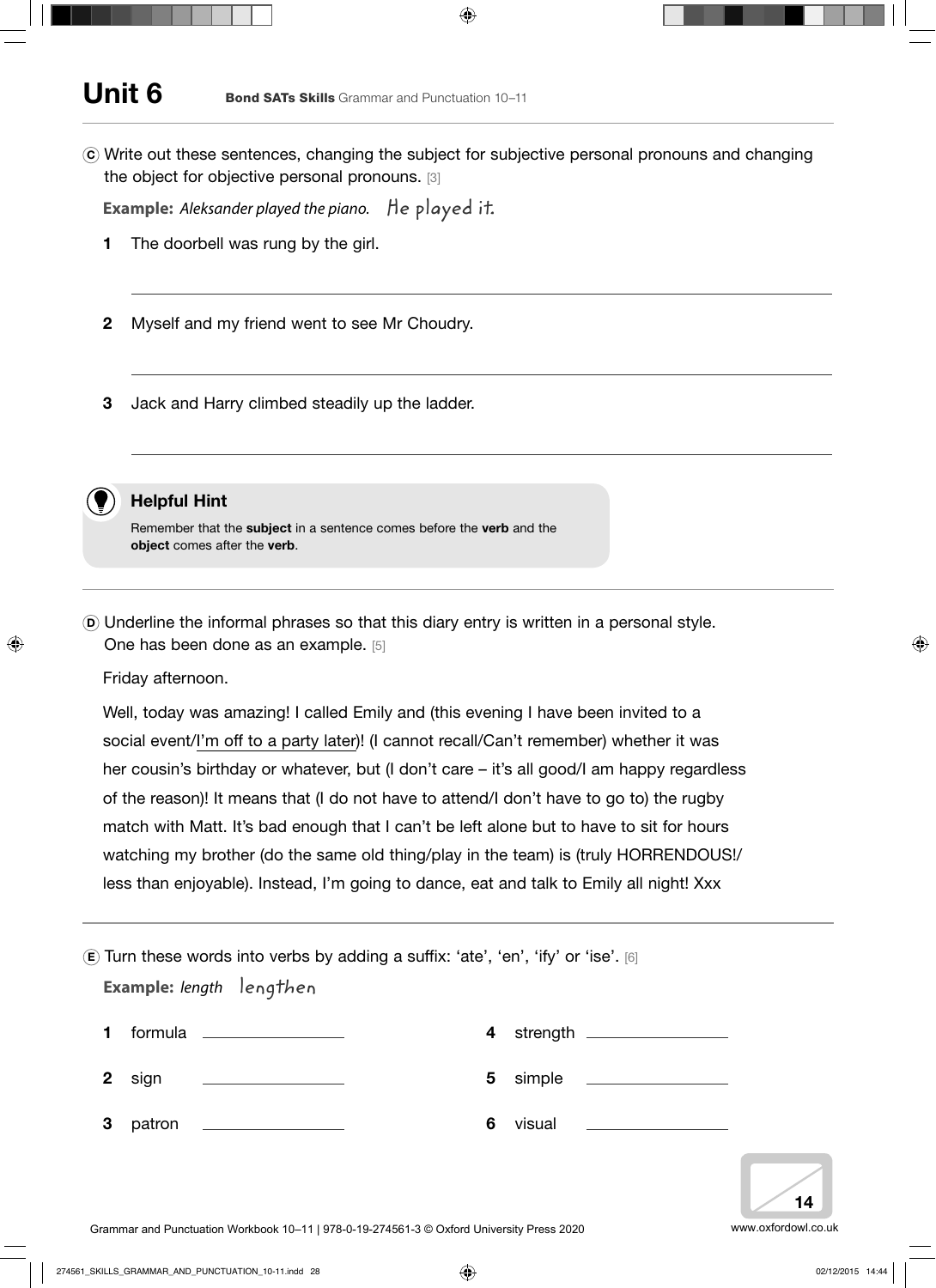# Unit 6 Bond SATs Skills Grammar and Punctuation 10–11

<sup>C</sup> Write out these sentences, changing the subject for subjective personal pronouns and changing the object for objective personal pronouns. [3]

**Example:** *Aleksander played the piano.* He played it.

- 1 The doorbell was rung by the girl.
- 2 Myself and my friend went to see Mr Choudry.
- 3 Jack and Harry climbed steadily up the ladder.



## Helpful Hint

Remember that the subject in a sentence comes before the verb and the object comes after the verb.

<sup>D</sup> Underline the informal phrases so that this diary entry is written in a personal style. One has been done as an example. [5]

Friday afternoon.

Well, today was amazing! I called Emily and (this evening I have been invited to a social event/I'm off to a party later)! (I cannot recall/Can't remember) whether it was her cousin's birthday or whatever, but (I don't care – it's all good/I am happy regardless of the reason)! It means that (I do not have to attend/I don't have to go to) the rugby match with Matt. It's bad enough that I can't be left alone but to have to sit for hours watching my brother (do the same old thing/play in the team) is (truly HORRENDOUS!/ less than enjoyable). Instead, I'm going to dance, eat and talk to Emily all night! Xxx

|              | $\epsilon$ ) Turn these words into verbs by adding a suffix: 'ate', 'en', 'ify' or 'ise'. [6]<br>Example: length lengthen     |   |                            |  |
|--------------|-------------------------------------------------------------------------------------------------------------------------------|---|----------------------------|--|
|              | formula __________________                                                                                                    | 4 | strength _________________ |  |
| $\mathbf{2}$ | <u> 1989 - Andrea State Barbara, política e a provincia de la provincia de la provincia de la provincia de la pro</u><br>sign | 5 | simple _________________   |  |
| 3            | patron                                                                                                                        | 6 |                            |  |
|              |                                                                                                                               |   |                            |  |

14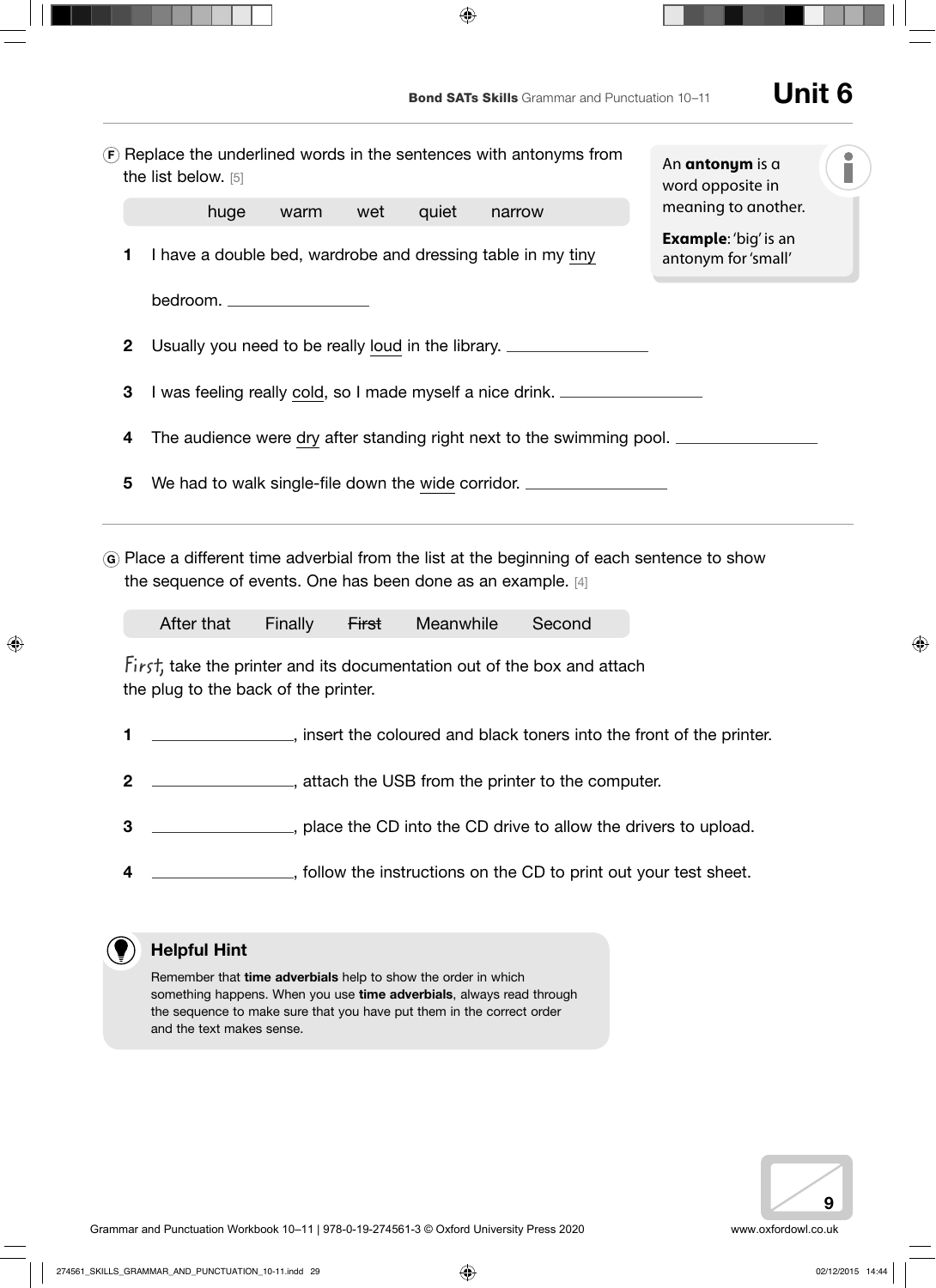|                                                                                                                                                                                                                                                                                                                                               |                                                                                                                                                                                                                                                   | the list below. [5]                                                                                               |      | (F) Replace the underlined words in the sentences with antonyms from |       |        |  | An antonym is a<br>word opposite in |                     |  |
|-----------------------------------------------------------------------------------------------------------------------------------------------------------------------------------------------------------------------------------------------------------------------------------------------------------------------------------------------|---------------------------------------------------------------------------------------------------------------------------------------------------------------------------------------------------------------------------------------------------|-------------------------------------------------------------------------------------------------------------------|------|----------------------------------------------------------------------|-------|--------|--|-------------------------------------|---------------------|--|
|                                                                                                                                                                                                                                                                                                                                               |                                                                                                                                                                                                                                                   | huge                                                                                                              | warm | wet                                                                  | quiet | narrow |  |                                     | meaning to another. |  |
|                                                                                                                                                                                                                                                                                                                                               | 1                                                                                                                                                                                                                                                 | <b>Example:</b> 'big' is an<br>I have a double bed, wardrobe and dressing table in my tiny<br>antonym for 'small' |      |                                                                      |       |        |  |                                     |                     |  |
|                                                                                                                                                                                                                                                                                                                                               |                                                                                                                                                                                                                                                   | bedroom. ___________________                                                                                      |      |                                                                      |       |        |  |                                     |                     |  |
|                                                                                                                                                                                                                                                                                                                                               | $\mathbf 2$                                                                                                                                                                                                                                       | Usually you need to be really loud in the library.                                                                |      |                                                                      |       |        |  |                                     |                     |  |
|                                                                                                                                                                                                                                                                                                                                               | 3<br>I was feeling really cold, so I made myself a nice drink.<br>The audience were dry after standing right next to the swimming pool. ___________<br>4<br>5<br>We had to walk single-file down the wide corridor. _____________________________ |                                                                                                                   |      |                                                                      |       |        |  |                                     |                     |  |
|                                                                                                                                                                                                                                                                                                                                               |                                                                                                                                                                                                                                                   |                                                                                                                   |      |                                                                      |       |        |  |                                     |                     |  |
|                                                                                                                                                                                                                                                                                                                                               |                                                                                                                                                                                                                                                   |                                                                                                                   |      |                                                                      |       |        |  |                                     |                     |  |
| G Place a different time adverbial from the list at the beginning of each sentence to show<br>the sequence of events. One has been done as an example. [4]<br>After that<br>Meanwhile<br>Finally<br>Second<br><b>First</b><br>First, take the printer and its documentation out of the box and attach<br>the plug to the back of the printer. |                                                                                                                                                                                                                                                   |                                                                                                                   |      |                                                                      |       |        |  |                                     |                     |  |
|                                                                                                                                                                                                                                                                                                                                               | 1                                                                                                                                                                                                                                                 |                                                                                                                   |      |                                                                      |       |        |  |                                     |                     |  |
|                                                                                                                                                                                                                                                                                                                                               | $\boldsymbol{2}$                                                                                                                                                                                                                                  | ___, attach the USB from the printer to the computer.                                                             |      |                                                                      |       |        |  |                                     |                     |  |
|                                                                                                                                                                                                                                                                                                                                               | 3                                                                                                                                                                                                                                                 |                                                                                                                   |      |                                                                      |       |        |  |                                     |                     |  |
|                                                                                                                                                                                                                                                                                                                                               | 4                                                                                                                                                                                                                                                 |                                                                                                                   |      |                                                                      |       |        |  |                                     |                     |  |
|                                                                                                                                                                                                                                                                                                                                               |                                                                                                                                                                                                                                                   |                                                                                                                   |      |                                                                      |       |        |  |                                     |                     |  |
|                                                                                                                                                                                                                                                                                                                                               |                                                                                                                                                                                                                                                   | <b>Helpful Hint</b>                                                                                               |      |                                                                      |       |        |  |                                     |                     |  |
|                                                                                                                                                                                                                                                                                                                                               | Remember that time adverbials help to show the order in which<br>something happens. When you use time adverbials, always read through<br>the sequence to make sure that you have put them in the correct order<br>and the text makes sense.       |                                                                                                                   |      |                                                                      |       |        |  |                                     |                     |  |

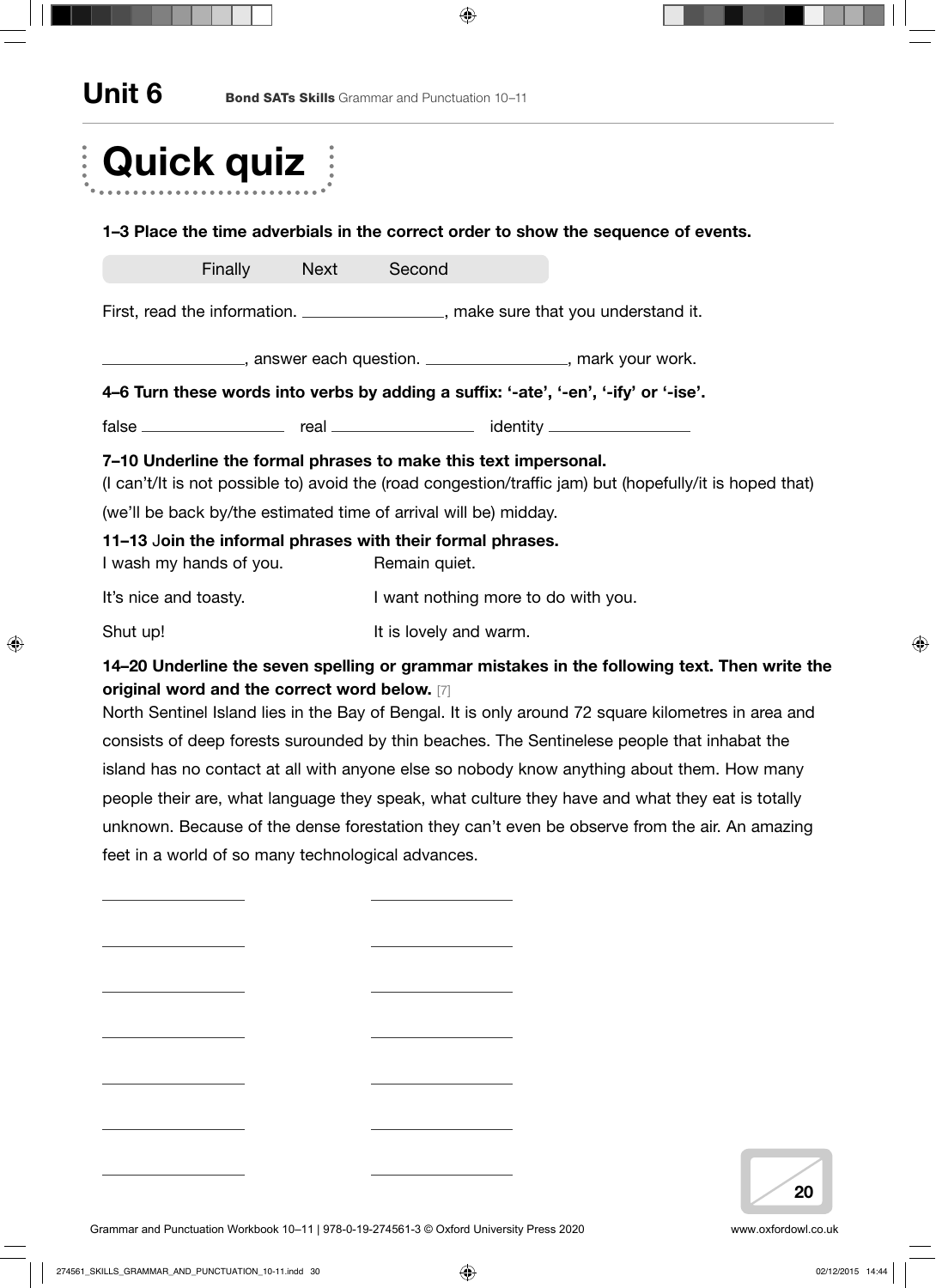## Unit 6 Bond SATs Skills Grammar and Punctuation 10–11

| <b>Quick quiz</b>                                                                                      |  |                                                                                                                                                                                                                                |                                                                                                                                                                                                     |  |  |  |  |
|--------------------------------------------------------------------------------------------------------|--|--------------------------------------------------------------------------------------------------------------------------------------------------------------------------------------------------------------------------------|-----------------------------------------------------------------------------------------------------------------------------------------------------------------------------------------------------|--|--|--|--|
|                                                                                                        |  |                                                                                                                                                                                                                                | 1–3 Place the time adverbials in the correct order to show the sequence of events.                                                                                                                  |  |  |  |  |
| Finally Next                                                                                           |  | Second                                                                                                                                                                                                                         |                                                                                                                                                                                                     |  |  |  |  |
| First, read the information. __________________, make sure that you understand it.                     |  |                                                                                                                                                                                                                                |                                                                                                                                                                                                     |  |  |  |  |
|                                                                                                        |  | The Summary School and Summary School and Summary School and Summary School and Summary School and Summary School and Summary School and Summary School and Summary School and Summary School and Summary School and Summary S |                                                                                                                                                                                                     |  |  |  |  |
| 4–6 Turn these words into verbs by adding a suffix: '-ate', '-en', '-ify' or '-ise'.                   |  |                                                                                                                                                                                                                                |                                                                                                                                                                                                     |  |  |  |  |
|                                                                                                        |  |                                                                                                                                                                                                                                |                                                                                                                                                                                                     |  |  |  |  |
| 7-10 Underline the formal phrases to make this text impersonal.                                        |  |                                                                                                                                                                                                                                | (I can't/It is not possible to) avoid the (road congestion/traffic jam) but (hopefully/it is hoped that)                                                                                            |  |  |  |  |
| (we'll be back by/the estimated time of arrival will be) midday.                                       |  |                                                                                                                                                                                                                                |                                                                                                                                                                                                     |  |  |  |  |
| 11–13 Join the informal phrases with their formal phrases.<br>Remain quiet.<br>I wash my hands of you. |  |                                                                                                                                                                                                                                |                                                                                                                                                                                                     |  |  |  |  |
| It's nice and toasty.                                                                                  |  | I want nothing more to do with you.                                                                                                                                                                                            |                                                                                                                                                                                                     |  |  |  |  |
| Shut up!                                                                                               |  | It is lovely and warm.                                                                                                                                                                                                         |                                                                                                                                                                                                     |  |  |  |  |
| original word and the correct word below. [7]                                                          |  |                                                                                                                                                                                                                                | 14-20 Underline the seven spelling or grammar mistakes in the following text. Then write the<br>North Sentinel Island lies in the Bay of Bengal. It is only around 72 square kilometres in area and |  |  |  |  |
|                                                                                                        |  |                                                                                                                                                                                                                                | consists of deep forests surounded by thin beaches. The Sentinelese people that inhabat the                                                                                                         |  |  |  |  |

island has no contact at all with anyone else so nobody know anything about them. How many people their are, what language they speak, what culture they have and what they eat is totally unknown. Because of the dense forestation they can't even be observe from the air. An amazing feet in a world of so many technological advances.



Grammar and Punctuation Workbook 10-11 | 978-0-19-274561-3 © Oxford University Press 2020 www.oxfordowl.co.uk